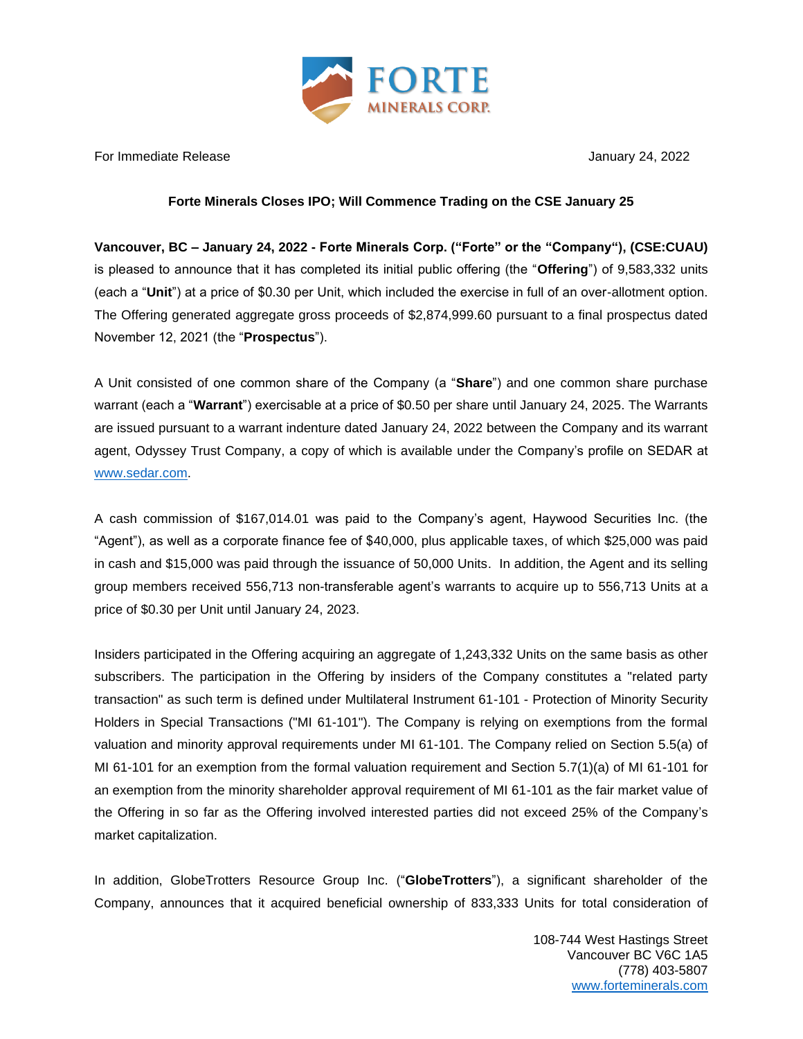

For Immediate Release January 24, 2022

## **Forte Minerals Closes IPO; Will Commence Trading on the CSE January 25**

**Vancouver, BC – January 24, 2022 - Forte Minerals Corp. ("Forte" or the "Company"), (CSE:CUAU)** is pleased to announce that it has completed its initial public offering (the "**Offering**") of 9,583,332 units (each a "**Unit**") at a price of \$0.30 per Unit, which included the exercise in full of an over-allotment option. The Offering generated aggregate gross proceeds of \$2,874,999.60 pursuant to a final prospectus dated November 12, 2021 (the "**Prospectus**").

A Unit consisted of one common share of the Company (a "**Share**") and one common share purchase warrant (each a "**Warrant**") exercisable at a price of \$0.50 per share until January 24, 2025. The Warrants are issued pursuant to a warrant indenture dated January 24, 2022 between the Company and its warrant agent, Odyssey Trust Company, a copy of which is available under the Company's profile on SEDAR at [www.sedar.com.](http://www.sedar.com/)

A cash commission of \$167,014.01 was paid to the Company's agent, Haywood Securities Inc. (the "Agent"), as well as a corporate finance fee of \$40,000, plus applicable taxes, of which \$25,000 was paid in cash and \$15,000 was paid through the issuance of 50,000 Units. In addition, the Agent and its selling group members received 556,713 non-transferable agent's warrants to acquire up to 556,713 Units at a price of \$0.30 per Unit until January 24, 2023.

Insiders participated in the Offering acquiring an aggregate of 1,243,332 Units on the same basis as other subscribers. The participation in the Offering by insiders of the Company constitutes a "related party transaction" as such term is defined under Multilateral Instrument 61-101 - Protection of Minority Security Holders in Special Transactions ("MI 61-101"). The Company is relying on exemptions from the formal valuation and minority approval requirements under MI 61-101. The Company relied on Section 5.5(a) of MI 61-101 for an exemption from the formal valuation requirement and Section 5.7(1)(a) of MI 61-101 for an exemption from the minority shareholder approval requirement of MI 61-101 as the fair market value of the Offering in so far as the Offering involved interested parties did not exceed 25% of the Company's market capitalization.

In addition, GlobeTrotters Resource Group Inc. ("**GlobeTrotters**"), a significant shareholder of the Company, announces that it acquired beneficial ownership of 833,333 Units for total consideration of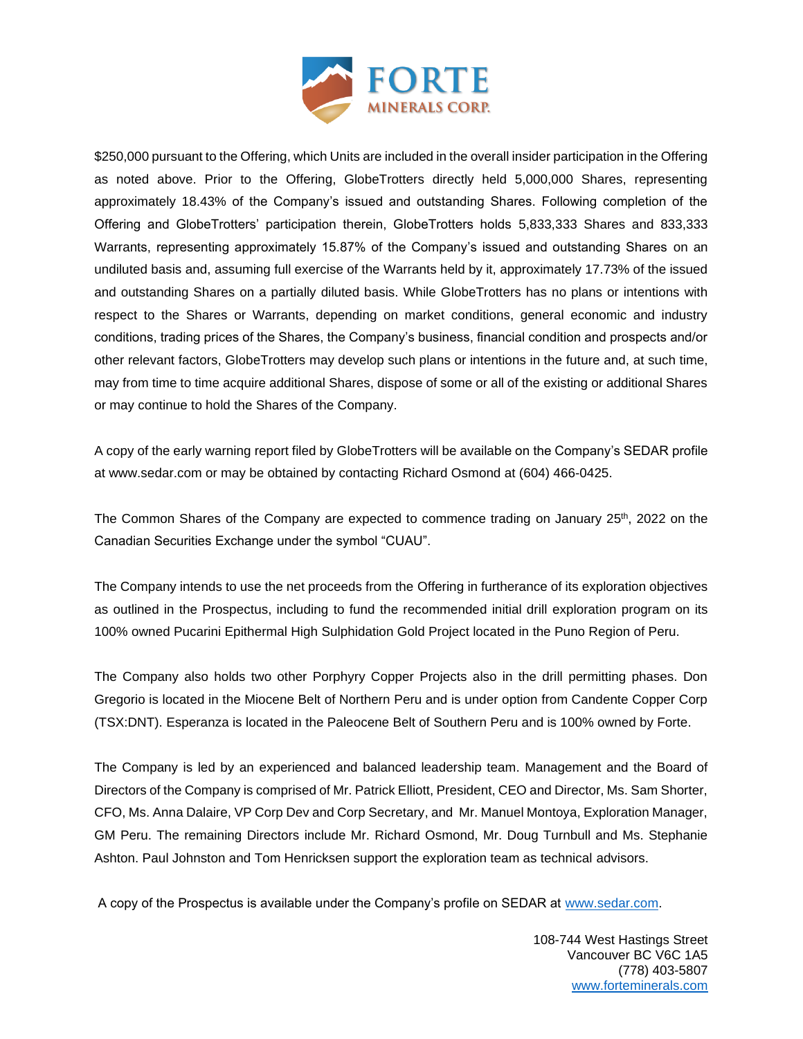

\$250,000 pursuant to the Offering, which Units are included in the overall insider participation in the Offering as noted above. Prior to the Offering, GlobeTrotters directly held 5,000,000 Shares, representing approximately 18.43% of the Company's issued and outstanding Shares. Following completion of the Offering and GlobeTrotters' participation therein, GlobeTrotters holds 5,833,333 Shares and 833,333 Warrants, representing approximately 15.87% of the Company's issued and outstanding Shares on an undiluted basis and, assuming full exercise of the Warrants held by it, approximately 17.73% of the issued and outstanding Shares on a partially diluted basis. While GlobeTrotters has no plans or intentions with respect to the Shares or Warrants, depending on market conditions, general economic and industry conditions, trading prices of the Shares, the Company's business, financial condition and prospects and/or other relevant factors, GlobeTrotters may develop such plans or intentions in the future and, at such time, may from time to time acquire additional Shares, dispose of some or all of the existing or additional Shares or may continue to hold the Shares of the Company.

A copy of the early warning report filed by GlobeTrotters will be available on the Company's SEDAR profile at www.sedar.com or may be obtained by contacting Richard Osmond at (604) 466-0425.

The Common Shares of the Company are expected to commence trading on January 25<sup>th</sup>, 2022 on the Canadian Securities Exchange under the symbol "CUAU".

The Company intends to use the net proceeds from the Offering in furtherance of its exploration objectives as outlined in the Prospectus, including to fund the recommended initial drill exploration program on its 100% owned Pucarini Epithermal High Sulphidation Gold Project located in the Puno Region of Peru.

The Company also holds two other Porphyry Copper Projects also in the drill permitting phases. Don Gregorio is located in the Miocene Belt of Northern Peru and is under option from Candente Copper Corp (TSX:DNT). Esperanza is located in the Paleocene Belt of Southern Peru and is 100% owned by Forte.

The Company is led by an experienced and balanced leadership team. Management and the Board of Directors of the Company is comprised of Mr. Patrick Elliott, President, CEO and Director, Ms. Sam Shorter, CFO, Ms. Anna Dalaire, VP Corp Dev and Corp Secretary, and Mr. Manuel Montoya, Exploration Manager, GM Peru. The remaining Directors include Mr. Richard Osmond, Mr. Doug Turnbull and Ms. Stephanie Ashton. Paul Johnston and Tom Henricksen support the exploration team as technical advisors.

A copy of the Prospectus is available under the Company's profile on SEDAR at [www.sedar.com.](http://www.sedar.com/)